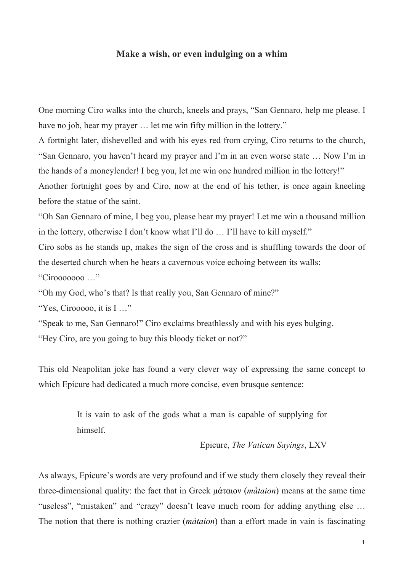## **Make a wish, or even indulging on a whim**

One morning Ciro walks into the church, kneels and prays, "San Gennaro, help me please. I have no job, hear my prayer ... let me win fifty million in the lottery."

A fortnight later, dishevelled and with his eyes red from crying, Ciro returns to the church, "San Gennaro, you haven't heard my prayer and I'm in an even worse state … Now I'm in the hands of a moneylender! I beg you, let me win one hundred million in the lottery!"

Another fortnight goes by and Ciro, now at the end of his tether, is once again kneeling before the statue of the saint.

"Oh San Gennaro of mine, I beg you, please hear my prayer! Let me win a thousand million in the lottery, otherwise I don't know what I'll do … I'll have to kill myself."

Ciro sobs as he stands up, makes the sign of the cross and is shuffling towards the door of the deserted church when he hears a cavernous voice echoing between its walls: "Cirooooooo …"

"Oh my God, who's that? Is that really you, San Gennaro of mine?"

"Yes, Cirooooo, it is I …"

"Speak to me, San Gennaro!" Ciro exclaims breathlessly and with his eyes bulging. "Hey Ciro, are you going to buy this bloody ticket or not?"

This old Neapolitan joke has found a very clever way of expressing the same concept to which Epicure had dedicated a much more concise, even brusque sentence:

> It is vain to ask of the gods what a man is capable of supplying for himself.

> > Epicure, *The Vatican Sayings*, LXV

As always, Epicure's words are very profound and if we study them closely they reveal their three-dimensional quality: the fact that in Greek µάταιον (*màtaion*) means at the same time "useless", "mistaken" and "crazy" doesn't leave much room for adding anything else ... The notion that there is nothing crazier (*màtaion*) than a effort made in vain is fascinating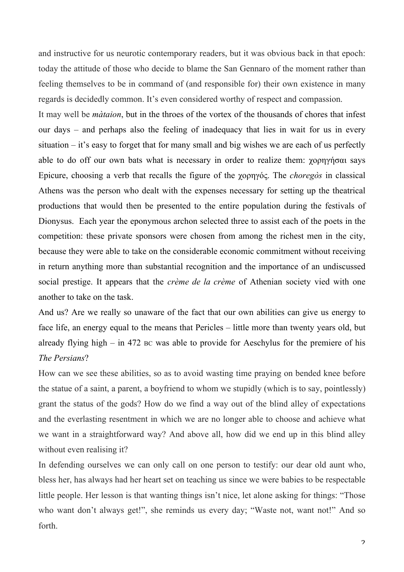and instructive for us neurotic contemporary readers, but it was obvious back in that epoch: today the attitude of those who decide to blame the San Gennaro of the moment rather than feeling themselves to be in command of (and responsible for) their own existence in many regards is decidedly common. It's even considered worthy of respect and compassion.

It may well be *màtaion*, but in the throes of the vortex of the thousands of chores that infest our days – and perhaps also the feeling of inadequacy that lies in wait for us in every situation – it's easy to forget that for many small and big wishes we are each of us perfectly able to do off our own bats what is necessary in order to realize them: χορηγήσαι says Epicure, choosing a verb that recalls the figure of the χορηγός. The *choregòs* in classical Athens was the person who dealt with the expenses necessary for setting up the theatrical productions that would then be presented to the entire population during the festivals of Dionysus. Each year the eponymous archon selected three to assist each of the poets in the competition: these private sponsors were chosen from among the richest men in the city, because they were able to take on the considerable economic commitment without receiving in return anything more than substantial recognition and the importance of an undiscussed social prestige. It appears that the *crème de la crème* of Athenian society vied with one another to take on the task.

And us? Are we really so unaware of the fact that our own abilities can give us energy to face life, an energy equal to the means that Pericles – little more than twenty years old, but already flying high – in 472  $\overline{BC}$  was able to provide for Aeschylus for the premiere of his *The Persians*?

How can we see these abilities, so as to avoid wasting time praying on bended knee before the statue of a saint, a parent, a boyfriend to whom we stupidly (which is to say, pointlessly) grant the status of the gods? How do we find a way out of the blind alley of expectations and the everlasting resentment in which we are no longer able to choose and achieve what we want in a straightforward way? And above all, how did we end up in this blind alley without even realising it?

In defending ourselves we can only call on one person to testify: our dear old aunt who, bless her, has always had her heart set on teaching us since we were babies to be respectable little people. Her lesson is that wanting things isn't nice, let alone asking for things: "Those who want don't always get!", she reminds us every day; "Waste not, want not!" And so forth.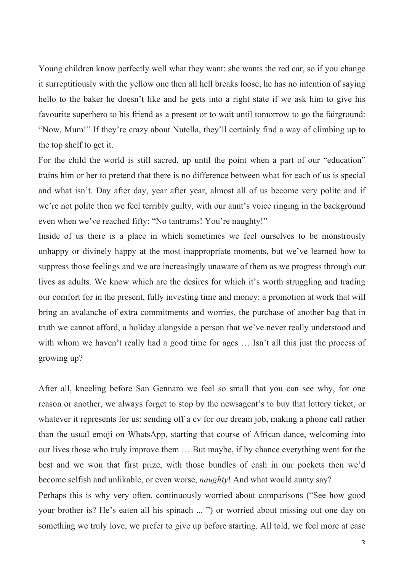Young children know perfectly well what they want: she wants the red car, so if you change it surreptitiously with the yellow one then all hell breaks loose; he has no intention of saying hello to the baker he doesn't like and he gets into a right state if we ask him to give his favourite superhero to his friend as a present or to wait until tomorrow to go the fairground: "Now, Mum!" If they're crazy about Nutella, they'll certainly find a way of climbing up to the top shelf to get it.

For the child the world is still sacred, up until the point when a part of our "education" trains him or her to pretend that there is no difference between what for each of us is special and what isn't. Day after day, year after year, almost all of us become very polite and if we're not polite then we feel terribly guilty, with our aunt's voice ringing in the background even when we've reached fifty: "No tantrums! You're naughty!"

Inside of us there is a place in which sometimes we feel ourselves to be monstrously unhappy or divinely happy at the most inappropriate moments, but we've learned how to suppress those feelings and we are increasingly unaware of them as we progress through our lives as adults. We know which are the desires for which it's worth struggling and trading our comfort for in the present, fully investing time and money: a promotion at work that will bring an avalanche of extra commitments and worries, the purchase of another bag that in truth we cannot afford, a holiday alongside a person that we've never really understood and with whom we haven't really had a good time for ages ... Isn't all this just the process of growing up?

After all, kneeling before San Gennaro we feel so small that you can see why, for one reason or another, we always forget to stop by the newsagent's to buy that lottery ticket, or whatever it represents for us: sending off a cv for our dream job, making a phone call rather than the usual emoji on WhatsApp, starting that course of African dance, welcoming into our lives those who truly improve them … But maybe, if by chance everything went for the best and we won that first prize, with those bundles of cash in our pockets then we'd become selfish and unlikable, or even worse, *naughty*! And what would aunty say? Perhaps this is why very often, continuously worried about comparisons ("See how good your brother is? He's eaten all his spinach ... ") or worried about missing out one day on something we truly love, we prefer to give up before starting. All told, we feel more at ease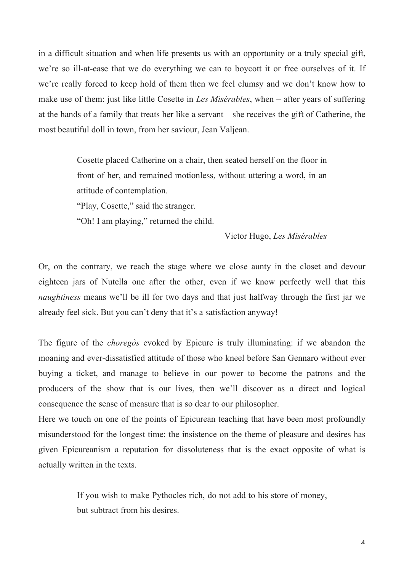in a difficult situation and when life presents us with an opportunity or a truly special gift, we're so ill-at-ease that we do everything we can to boycott it or free ourselves of it. If we're really forced to keep hold of them then we feel clumsy and we don't know how to make use of them: just like little Cosette in *Les Misérables*, when – after years of suffering at the hands of a family that treats her like a servant – she receives the gift of Catherine, the most beautiful doll in town, from her saviour, Jean Valjean.

> Cosette placed Catherine on a chair, then seated herself on the floor in front of her, and remained motionless, without uttering a word, in an attitude of contemplation. "Play, Cosette," said the stranger.

"Oh! I am playing," returned the child.

Victor Hugo, *Les Misérables*

Or, on the contrary, we reach the stage where we close aunty in the closet and devour eighteen jars of Nutella one after the other, even if we know perfectly well that this *naughtiness* means we'll be ill for two days and that just halfway through the first jar we already feel sick. But you can't deny that it's a satisfaction anyway!

The figure of the *choregòs* evoked by Epicure is truly illuminating: if we abandon the moaning and ever-dissatisfied attitude of those who kneel before San Gennaro without ever buying a ticket, and manage to believe in our power to become the patrons and the producers of the show that is our lives, then we'll discover as a direct and logical consequence the sense of measure that is so dear to our philosopher.

Here we touch on one of the points of Epicurean teaching that have been most profoundly misunderstood for the longest time: the insistence on the theme of pleasure and desires has given Epicureanism a reputation for dissoluteness that is the exact opposite of what is actually written in the texts.

> If you wish to make Pythocles rich, do not add to his store of money, but subtract from his desires.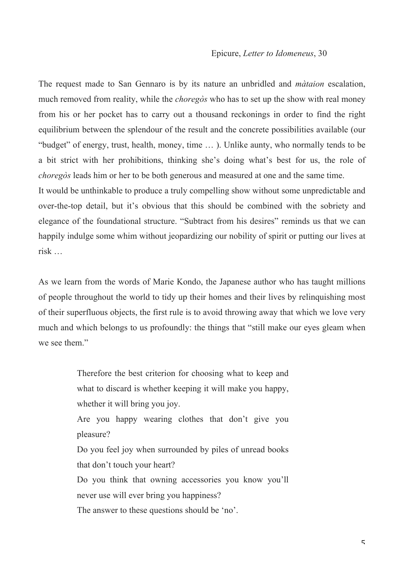## Epicure, *Letter to Idomeneus*, 30

The request made to San Gennaro is by its nature an unbridled and *màtaion* escalation, much removed from reality, while the *choregòs* who has to set up the show with real money from his or her pocket has to carry out a thousand reckonings in order to find the right equilibrium between the splendour of the result and the concrete possibilities available (our "budget" of energy, trust, health, money, time … ). Unlike aunty, who normally tends to be a bit strict with her prohibitions, thinking she's doing what's best for us, the role of *choregòs* leads him or her to be both generous and measured at one and the same time. It would be unthinkable to produce a truly compelling show without some unpredictable and

over-the-top detail, but it's obvious that this should be combined with the sobriety and elegance of the foundational structure. "Subtract from his desires" reminds us that we can happily indulge some whim without jeopardizing our nobility of spirit or putting our lives at risk …

As we learn from the words of Marie Kondo, the Japanese author who has taught millions of people throughout the world to tidy up their homes and their lives by relinquishing most of their superfluous objects, the first rule is to avoid throwing away that which we love very much and which belongs to us profoundly: the things that "still make our eyes gleam when we see them."

> Therefore the best criterion for choosing what to keep and what to discard is whether keeping it will make you happy, whether it will bring you joy.

> Are you happy wearing clothes that don't give you pleasure?

> Do you feel joy when surrounded by piles of unread books that don't touch your heart?

> Do you think that owning accessories you know you'll never use will ever bring you happiness?

The answer to these questions should be 'no'.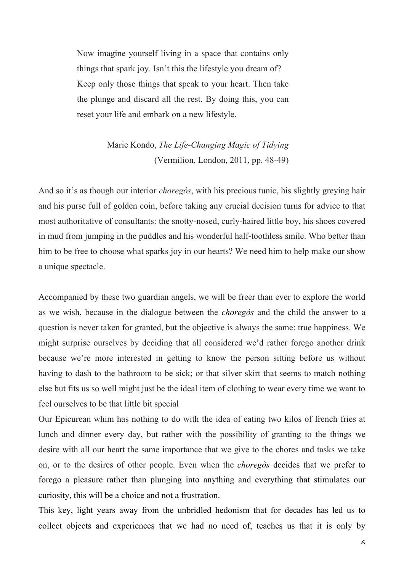Now imagine yourself living in a space that contains only things that spark joy. Isn't this the lifestyle you dream of? Keep only those things that speak to your heart. Then take the plunge and discard all the rest. By doing this, you can reset your life and embark on a new lifestyle.

> Marie Kondo, *The Life-Changing Magic of Tidying* (Vermilion, London, 2011, pp. 48-49)

And so it's as though our interior *choregòs*, with his precious tunic, his slightly greying hair and his purse full of golden coin, before taking any crucial decision turns for advice to that most authoritative of consultants: the snotty-nosed, curly-haired little boy, his shoes covered in mud from jumping in the puddles and his wonderful half-toothless smile. Who better than him to be free to choose what sparks joy in our hearts? We need him to help make our show a unique spectacle.

Accompanied by these two guardian angels, we will be freer than ever to explore the world as we wish, because in the dialogue between the *choregòs* and the child the answer to a question is never taken for granted, but the objective is always the same: true happiness. We might surprise ourselves by deciding that all considered we'd rather forego another drink because we're more interested in getting to know the person sitting before us without having to dash to the bathroom to be sick; or that silver skirt that seems to match nothing else but fits us so well might just be the ideal item of clothing to wear every time we want to feel ourselves to be that little bit special

Our Epicurean whim has nothing to do with the idea of eating two kilos of french fries at lunch and dinner every day, but rather with the possibility of granting to the things we desire with all our heart the same importance that we give to the chores and tasks we take on, or to the desires of other people. Even when the *choregòs* decides that we prefer to forego a pleasure rather than plunging into anything and everything that stimulates our curiosity, this will be a choice and not a frustration.

This key, light years away from the unbridled hedonism that for decades has led us to collect objects and experiences that we had no need of, teaches us that it is only by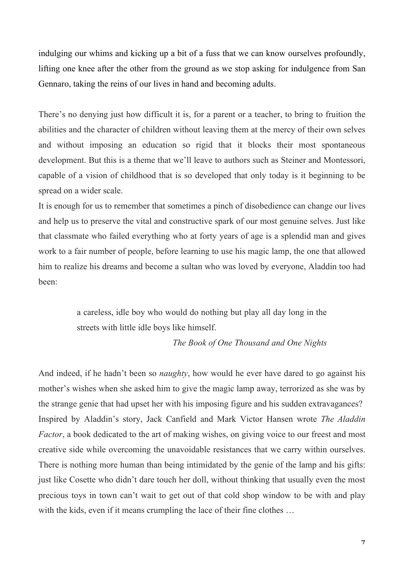indulging our whims and kicking up a bit of a fuss that we can know ourselves profoundly, lifting one knee after the other from the ground as we stop asking for indulgence from San Gennaro, taking the reins of our lives in hand and becoming adults.

There's no denying just how difficult it is, for a parent or a teacher, to bring to fruition the abilities and the character of children without leaving them at the mercy of their own selves and without imposing an education so rigid that it blocks their most spontaneous development. But this is a theme that we'll leave to authors such as Steiner and Montessori, capable of a vision of childhood that is so developed that only today is it beginning to be spread on a wider scale.

It is enough for us to remember that sometimes a pinch of disobedience can change our lives and help us to preserve the vital and constructive spark of our most genuine selves. Just like that classmate who failed everything who at forty years of age is a splendid man and gives work to a fair number of people, before learning to use his magic lamp, the one that allowed him to realize his dreams and become a sultan who was loved by everyone, Aladdin too had been:

> a careless, idle boy who would do nothing but play all day long in the streets with little idle boys like himself.

## *The Book of One Thousand and One Nights*

And indeed, if he hadn't been so *naughty*, how would he ever have dared to go against his mother's wishes when she asked him to give the magic lamp away, terrorized as she was by the strange genie that had upset her with his imposing figure and his sudden extravagances? Inspired by Aladdin's story, Jack Canfield and Mark Victor Hansen wrote *The Aladdin Factor*, a book dedicated to the art of making wishes, on giving voice to our freest and most creative side while overcoming the unavoidable resistances that we carry within ourselves. There is nothing more human than being intimidated by the genie of the lamp and his gifts: just like Cosette who didn't dare touch her doll, without thinking that usually even the most precious toys in town can't wait to get out of that cold shop window to be with and play with the kids, even if it means crumpling the lace of their fine clothes ...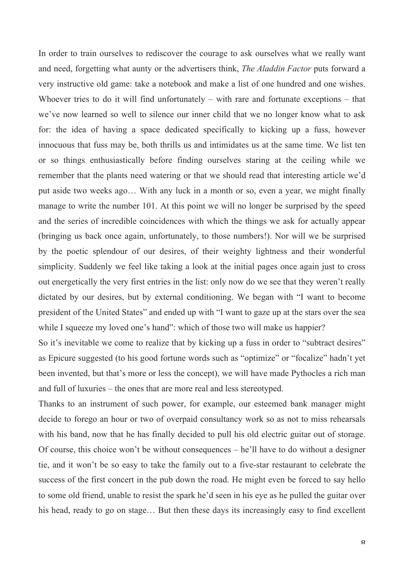In order to train ourselves to rediscover the courage to ask ourselves what we really want and need, forgetting what aunty or the advertisers think, *The Aladdin Factor* puts forward a very instructive old game: take a notebook and make a list of one hundred and one wishes. Whoever tries to do it will find unfortunately – with rare and fortunate exceptions – that we've now learned so well to silence our inner child that we no longer know what to ask for: the idea of having a space dedicated specifically to kicking up a fuss, however innocuous that fuss may be, both thrills us and intimidates us at the same time. We list ten or so things enthusiastically before finding ourselves staring at the ceiling while we remember that the plants need watering or that we should read that interesting article we'd put aside two weeks ago… With any luck in a month or so, even a year, we might finally manage to write the number 101. At this point we will no longer be surprised by the speed and the series of incredible coincidences with which the things we ask for actually appear (bringing us back once again, unfortunately, to those numbers!). Nor will we be surprised by the poetic splendour of our desires, of their weighty lightness and their wonderful simplicity. Suddenly we feel like taking a look at the initial pages once again just to cross out energetically the very first entries in the list: only now do we see that they weren't really dictated by our desires, but by external conditioning. We began with "I want to become president of the United States" and ended up with "I want to gaze up at the stars over the sea while I squeeze my loved one's hand": which of those two will make us happier?

So it's inevitable we come to realize that by kicking up a fuss in order to "subtract desires" as Epicure suggested (to his good fortune words such as "optimize" or "focalize" hadn't yet been invented, but that's more or less the concept), we will have made Pythocles a rich man and full of luxuries – the ones that are more real and less stereotyped.

Thanks to an instrument of such power, for example, our esteemed bank manager might decide to forego an hour or two of overpaid consultancy work so as not to miss rehearsals with his band, now that he has finally decided to pull his old electric guitar out of storage. Of course, this choice won't be without consequences – he'll have to do without a designer tie, and it won't be so easy to take the family out to a five-star restaurant to celebrate the success of the first concert in the pub down the road. He might even be forced to say hello to some old friend, unable to resist the spark he'd seen in his eye as he pulled the guitar over his head, ready to go on stage… But then these days its increasingly easy to find excellent